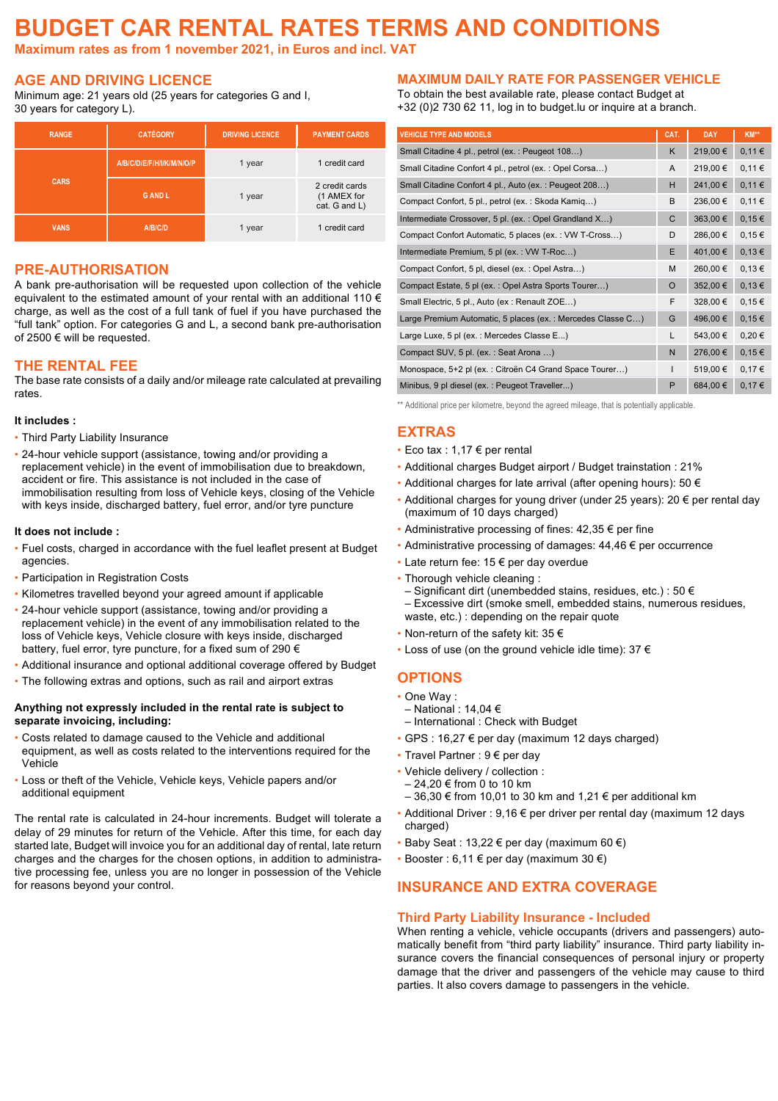# **BUDGET CAR RENTAL RATES TERMS AND CONDITIONS**

**Maximum rates as from 1 november 2021, in Euros and incl. VAT**

### **AGE AND DRIVING LICENCE**

Minimum age: 21 years old (25 years for categories G and I, 30 years for category L).

| <b>RANGE</b> | <b>CATÉGORY</b>           | <b>DRIVING LICENCE</b> | <b>PAYMENT CARDS</b>                           |  |
|--------------|---------------------------|------------------------|------------------------------------------------|--|
|              | A/B/C/D/E/F/H/I/K/M/N/O/P | 1 year                 | 1 credit card                                  |  |
| <b>CARS</b>  | <b>GANDL</b>              | 1 year                 | 2 credit cards<br>(1 AMEX for<br>cat. G and L) |  |
| <b>VANS</b>  | A/B/C/D                   | 1 year                 | 1 credit card                                  |  |

#### **PRE-AUTHORISATION**

A bank pre-authorisation will be requested upon collection of the vehicle equivalent to the estimated amount of your rental with an additional 110  $\epsilon$ charge, as well as the cost of a full tank of fuel if you have purchased the "full tank" option. For categories G and L, a second bank pre-authorisation of 2500 € will be requested.

#### **THE RENTAL FEE**

The base rate consists of a daily and/or mileage rate calculated at prevailing rates.

#### **It includes :**

- Third Party Liability Insurance
- ! 24-hour vehicle support (assistance, towing and/or providing a replacement vehicle) in the event of immobilisation due to breakdown, accident or fire. This assistance is not included in the case of immobilisation resulting from loss of Vehicle keys, closing of the Vehicle with keys inside, discharged battery, fuel error, and/or tyre puncture

#### **It does not include :**

- ! Fuel costs, charged in accordance with the fuel leaflet present at Budget agencies.
- **.** Participation in Registration Costs
- ! Kilometres travelled beyond your agreed amount if applicable
- ! 24-hour vehicle support (assistance, towing and/or providing a replacement vehicle) in the event of any immobilisation related to the loss of Vehicle keys, Vehicle closure with keys inside, discharged battery, fuel error, tyre puncture, for a fixed sum of 290 €
- . Additional insurance and optional additional coverage offered by Budget
- ! The following extras and options, such as rail and airport extras

#### **Anything not expressly included in the rental rate is subject to separate invoicing, including:**

- . Costs related to damage caused to the Vehicle and additional equipment, as well as costs related to the interventions required for the Vehicle
- ! Loss or theft of the Vehicle, Vehicle keys, Vehicle papers and/or additional equipment

The rental rate is calculated in 24-hour increments. Budget will tolerate a delay of 29 minutes for return of the Vehicle. After this time, for each day started late, Budget will invoice you for an additional day of rental, late return charges and the charges for the chosen options, in addition to administrative processing fee, unless you are no longer in possession of the Vehicle for reasons beyond your control.

#### **MAXIMUM DAILY RATE FOR PASSENGER VEHICLE**

To obtain the best available rate, please contact Budget at +32 (0)2 730 62 11, log in to budget.lu or inquire at a branch.

| <b>VEHICLE TYPE AND MODELS</b>                             | CAT.         | <b>DAY</b> | KM**       |
|------------------------------------------------------------|--------------|------------|------------|
| Small Citadine 4 pl., petrol (ex.: Peugeot 108)            | K            | 219,00€    | 0,11€      |
| Small Citadine Confort 4 pl., petrol (ex.: Opel Corsa)     | A            | 219,00€    | 0,11€      |
| Small Citadine Confort 4 pl., Auto (ex.: Peugeot 208)      | Н            | 241,00 €   | 0,11€      |
| Compact Confort, 5 pl., petrol (ex.: Skoda Kamiq)          | B            | 236,00€    | 0,11€      |
| Intermediate Crossover, 5 pl. (ex.: Opel Grandland X)      | C            | 363,00 €   | 0,15€      |
| Compact Confort Automatic, 5 places (ex.: VW T-Cross)      | D            | 286,00€    | 0,15€      |
| Intermediate Premium, 5 pl (ex.: VW T-Roc)                 | E            | 401,00 €   | 0,13€      |
| Compact Confort, 5 pl, diesel (ex.: Opel Astra)            | M            | 260,00€    | 0,13€      |
| Compact Estate, 5 pl (ex.: Opel Astra Sports Tourer)       | O            | 352,00 €   | 0,13€      |
| Small Electric, 5 pl., Auto (ex: Renault ZOE)              | F            | 328,00 €   | 0,15€      |
| Large Premium Automatic, 5 places (ex.: Mercedes Classe C) | G            | 496,00€    | $0,15 \in$ |
| Large Luxe, 5 pl (ex.: Mercedes Classe E)                  | L            | 543,00 €   | $0,20 \in$ |
| Compact SUV, 5 pl. (ex.: Seat Arona )                      | N            | 276,00 €   | 0,15€      |
| Monospace, 5+2 pl (ex.: Citroën C4 Grand Space Tourer)     | $\mathsf{I}$ | 519,00€    | 0,17€      |
| Minibus, 9 pl diesel (ex.: Peugeot Traveller)              | P            | 684,00 €   | 0,17€      |

\*\* Additional price per kilometre, beyond the agreed mileage, that is potentially applicable.

### **EXTRAS**

- $\cdot$  Eco tax : 1,17  $\epsilon$  per rental
- ! Additional charges Budget airport / Budget trainstation : 21%
- $\cdot$  Additional charges for late arrival (after opening hours): 50  $\epsilon$
- . Additional charges for young driver (under 25 years): 20  $\epsilon$  per rental day (maximum of 10 days charged)
- $\cdot$  Administrative processing of fines: 42,35  $\epsilon$  per fine
- $\cdot$  Administrative processing of damages: 44,46  $\epsilon$  per occurrence
- $\cdot$  Late return fee: 15  $\epsilon$  per day overdue
- ! Thorough vehicle cleaning :
- Significant dirt (unembedded stains, residues, etc.) : 50 € – Excessive dirt (smoke smell, embedded stains, numerous residues, waste, etc.) : depending on the repair quote
- $\cdot$  Non-return of the safety kit: 35  $\epsilon$
- ! Loss of use (on the ground vehicle idle time): 37 €

### **OPTIONS**

- ! One Way :
- National : 14,04 €
- International : Check with Budget
- $\cdot$  GPS : 16,27  $\epsilon$  per day (maximum 12 days charged)
- Travel Partner : 9 € per day
- Vehicle delivery / collection :
- 24,20 € from 0 to 10 km
- $-36,30 \notin$  from 10,01 to 30 km and 1,21 € per additional km
- ! Additional Driver : 9,16 € per driver per rental day (maximum 12 days charged)
- $\cdot$  Baby Seat : 13,22 € per day (maximum 60 €)
- $\cdot$  Booster : 6,11  $\in$  per day (maximum 30  $\in$ )

### **INSURANCE AND EXTRA COVERAGE**

#### **Third Party Liability Insurance - Included**

When renting a vehicle, vehicle occupants (drivers and passengers) automatically benefit from "third party liability" insurance. Third party liability insurance covers the financial consequences of personal injury or property damage that the driver and passengers of the vehicle may cause to third parties. It also covers damage to passengers in the vehicle.